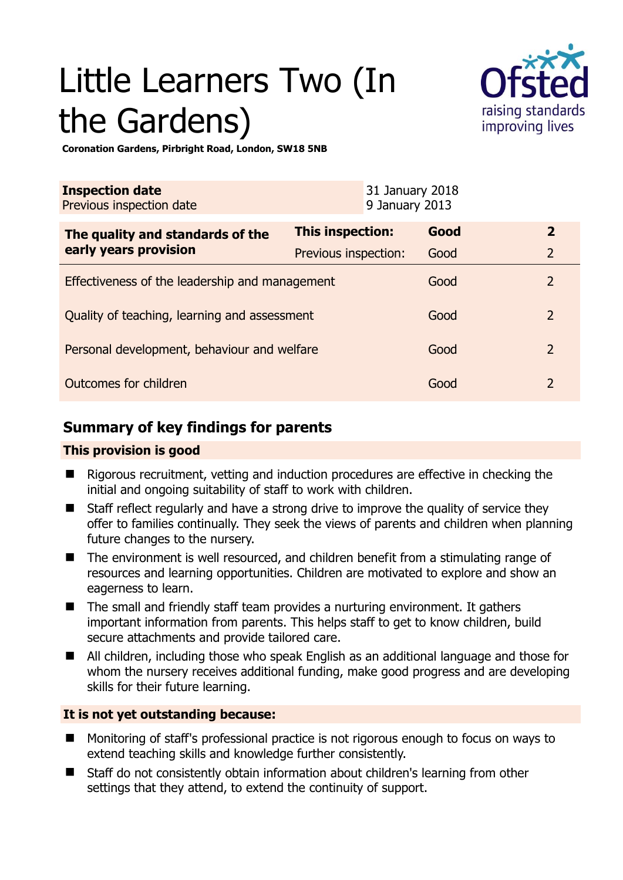# Little Learners Two (In the Gardens)



**Coronation Gardens, Pirbright Road, London, SW18 5NB** 

| <b>Inspection date</b><br>Previous inspection date        |                      | 31 January 2018<br>9 January 2013 |      |                |
|-----------------------------------------------------------|----------------------|-----------------------------------|------|----------------|
| The quality and standards of the<br>early years provision | This inspection:     |                                   | Good | $\overline{2}$ |
|                                                           | Previous inspection: |                                   | Good | $\overline{2}$ |
| Effectiveness of the leadership and management            |                      |                                   | Good | $\overline{2}$ |
| Quality of teaching, learning and assessment              |                      |                                   | Good | $\overline{2}$ |
| Personal development, behaviour and welfare               |                      |                                   | Good | $\overline{2}$ |
| Outcomes for children                                     |                      |                                   | Good | $\mathcal{P}$  |

# **Summary of key findings for parents**

## **This provision is good**

- Rigorous recruitment, vetting and induction procedures are effective in checking the initial and ongoing suitability of staff to work with children.
- Staff reflect regularly and have a strong drive to improve the quality of service they offer to families continually. They seek the views of parents and children when planning future changes to the nursery.
- The environment is well resourced, and children benefit from a stimulating range of resources and learning opportunities. Children are motivated to explore and show an eagerness to learn.
- The small and friendly staff team provides a nurturing environment. It gathers important information from parents. This helps staff to get to know children, build secure attachments and provide tailored care.
- All children, including those who speak English as an additional language and those for whom the nursery receives additional funding, make good progress and are developing skills for their future learning.

## **It is not yet outstanding because:**

- Monitoring of staff's professional practice is not rigorous enough to focus on ways to extend teaching skills and knowledge further consistently.
- Staff do not consistently obtain information about children's learning from other settings that they attend, to extend the continuity of support.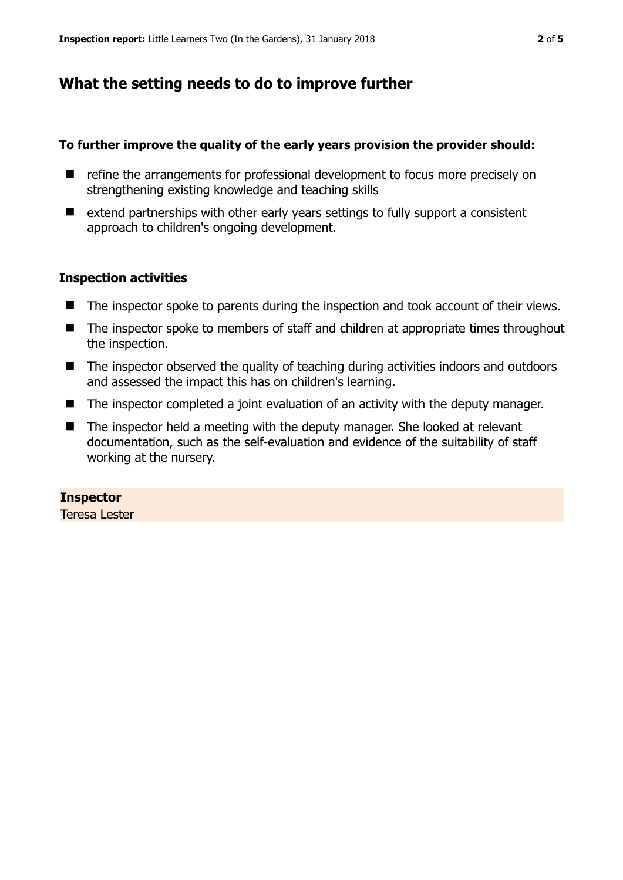## **What the setting needs to do to improve further**

#### **To further improve the quality of the early years provision the provider should:**

- refine the arrangements for professional development to focus more precisely on strengthening existing knowledge and teaching skills
- $\blacksquare$  extend partnerships with other early years settings to fully support a consistent approach to children's ongoing development.

#### **Inspection activities**

- The inspector spoke to parents during the inspection and took account of their views.
- The inspector spoke to members of staff and children at appropriate times throughout the inspection.
- The inspector observed the quality of teaching during activities indoors and outdoors and assessed the impact this has on children's learning.
- The inspector completed a joint evaluation of an activity with the deputy manager.
- The inspector held a meeting with the deputy manager. She looked at relevant documentation, such as the self-evaluation and evidence of the suitability of staff working at the nursery.

#### **Inspector**

Teresa Lester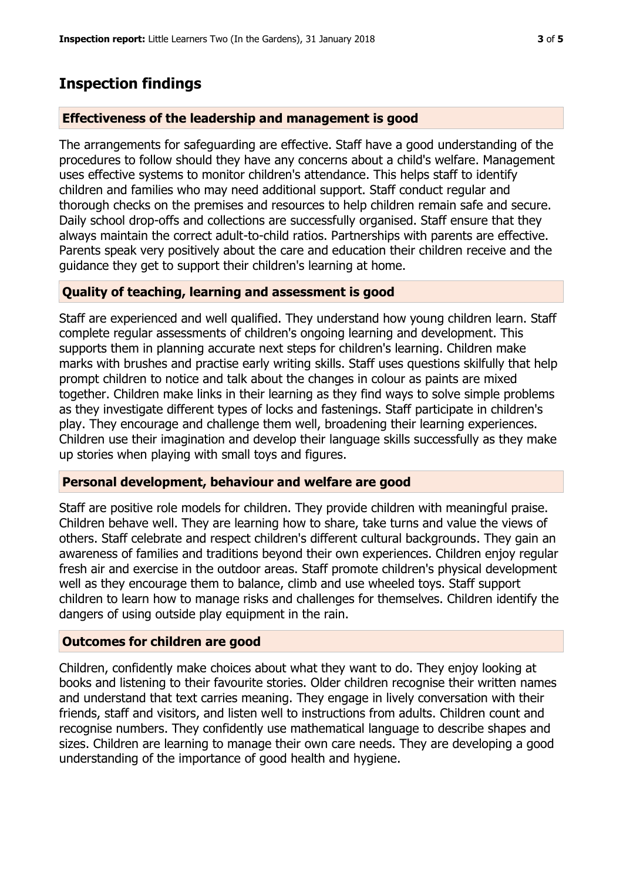## **Inspection findings**

#### **Effectiveness of the leadership and management is good**

The arrangements for safeguarding are effective. Staff have a good understanding of the procedures to follow should they have any concerns about a child's welfare. Management uses effective systems to monitor children's attendance. This helps staff to identify children and families who may need additional support. Staff conduct regular and thorough checks on the premises and resources to help children remain safe and secure. Daily school drop-offs and collections are successfully organised. Staff ensure that they always maintain the correct adult-to-child ratios. Partnerships with parents are effective. Parents speak very positively about the care and education their children receive and the guidance they get to support their children's learning at home.

#### **Quality of teaching, learning and assessment is good**

Staff are experienced and well qualified. They understand how young children learn. Staff complete regular assessments of children's ongoing learning and development. This supports them in planning accurate next steps for children's learning. Children make marks with brushes and practise early writing skills. Staff uses questions skilfully that help prompt children to notice and talk about the changes in colour as paints are mixed together. Children make links in their learning as they find ways to solve simple problems as they investigate different types of locks and fastenings. Staff participate in children's play. They encourage and challenge them well, broadening their learning experiences. Children use their imagination and develop their language skills successfully as they make up stories when playing with small toys and figures.

#### **Personal development, behaviour and welfare are good**

Staff are positive role models for children. They provide children with meaningful praise. Children behave well. They are learning how to share, take turns and value the views of others. Staff celebrate and respect children's different cultural backgrounds. They gain an awareness of families and traditions beyond their own experiences. Children enjoy regular fresh air and exercise in the outdoor areas. Staff promote children's physical development well as they encourage them to balance, climb and use wheeled toys. Staff support children to learn how to manage risks and challenges for themselves. Children identify the dangers of using outside play equipment in the rain.

#### **Outcomes for children are good**

Children, confidently make choices about what they want to do. They enjoy looking at books and listening to their favourite stories. Older children recognise their written names and understand that text carries meaning. They engage in lively conversation with their friends, staff and visitors, and listen well to instructions from adults. Children count and recognise numbers. They confidently use mathematical language to describe shapes and sizes. Children are learning to manage their own care needs. They are developing a good understanding of the importance of good health and hygiene.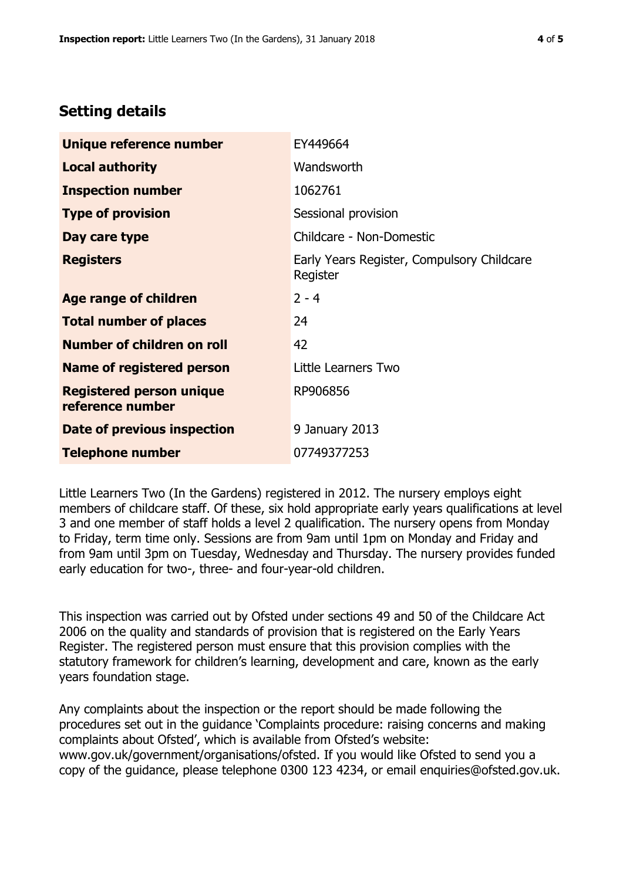# **Setting details**

| Unique reference number                             | EY449664                                               |  |
|-----------------------------------------------------|--------------------------------------------------------|--|
| <b>Local authority</b>                              | Wandsworth                                             |  |
| <b>Inspection number</b>                            | 1062761                                                |  |
| <b>Type of provision</b>                            | Sessional provision                                    |  |
| Day care type                                       | Childcare - Non-Domestic                               |  |
| <b>Registers</b>                                    | Early Years Register, Compulsory Childcare<br>Register |  |
| Age range of children                               | $2 - 4$                                                |  |
| <b>Total number of places</b>                       | 24                                                     |  |
| Number of children on roll                          | 42                                                     |  |
| Name of registered person                           | Little Learners Two                                    |  |
| <b>Registered person unique</b><br>reference number | RP906856                                               |  |
| Date of previous inspection                         | 9 January 2013                                         |  |
| <b>Telephone number</b>                             | 07749377253                                            |  |

Little Learners Two (In the Gardens) registered in 2012. The nursery employs eight members of childcare staff. Of these, six hold appropriate early years qualifications at level 3 and one member of staff holds a level 2 qualification. The nursery opens from Monday to Friday, term time only. Sessions are from 9am until 1pm on Monday and Friday and from 9am until 3pm on Tuesday, Wednesday and Thursday. The nursery provides funded early education for two-, three- and four-year-old children.

This inspection was carried out by Ofsted under sections 49 and 50 of the Childcare Act 2006 on the quality and standards of provision that is registered on the Early Years Register. The registered person must ensure that this provision complies with the statutory framework for children's learning, development and care, known as the early years foundation stage.

Any complaints about the inspection or the report should be made following the procedures set out in the guidance 'Complaints procedure: raising concerns and making complaints about Ofsted', which is available from Ofsted's website: www.gov.uk/government/organisations/ofsted. If you would like Ofsted to send you a copy of the guidance, please telephone 0300 123 4234, or email enquiries@ofsted.gov.uk.